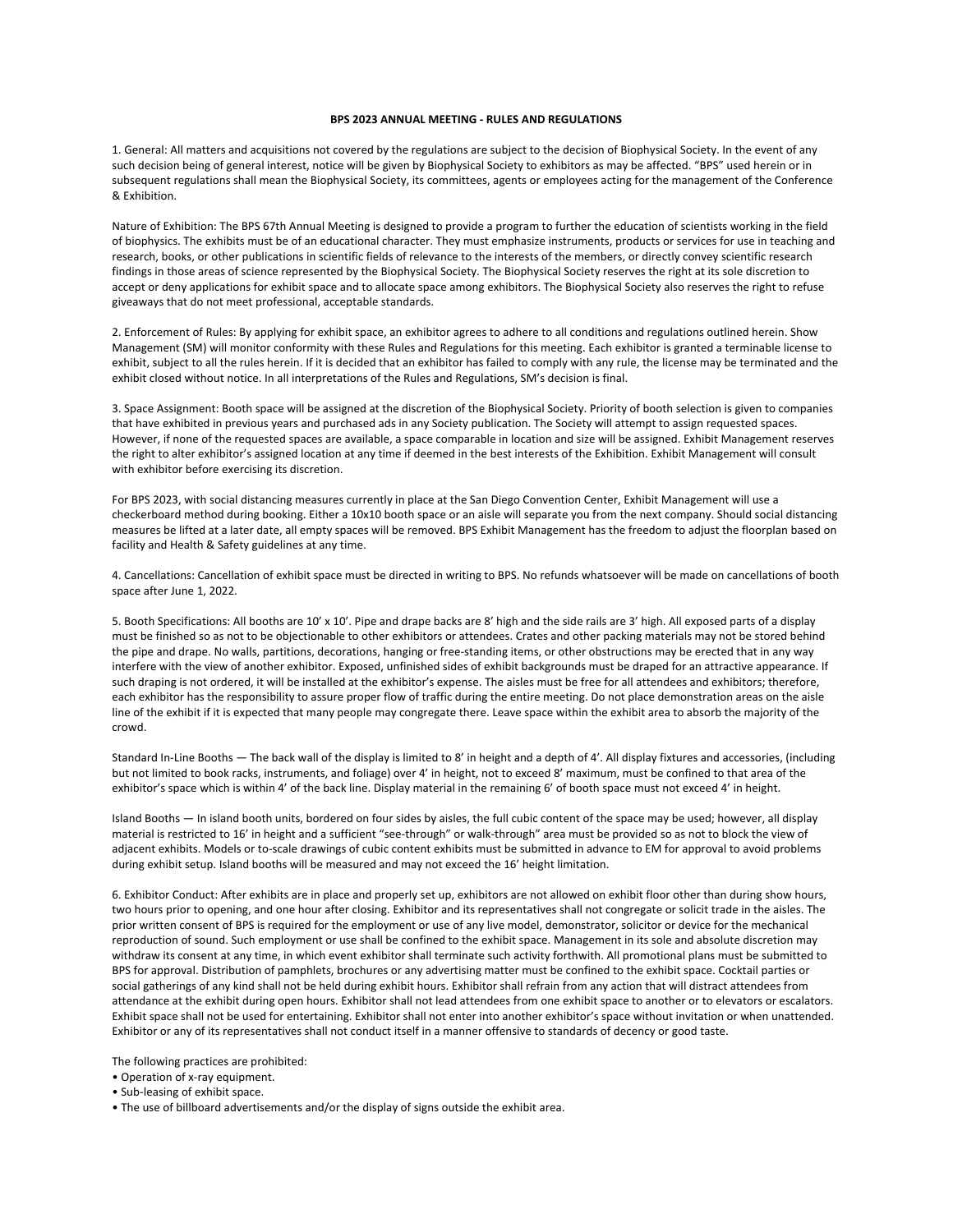## **BPS 2023 ANNUAL MEETING - RULES AND REGULATIONS**

1. General: All matters and acquisitions not covered by the regulations are subject to the decision of Biophysical Society. In the event of any such decision being of general interest, notice will be given by Biophysical Society to exhibitors as may be affected. "BPS" used herein or in subsequent regulations shall mean the Biophysical Society, its committees, agents or employees acting for the management of the Conference & Exhibition.

Nature of Exhibition: The BPS 67th Annual Meeting is designed to provide a program to further the education of scientists working in the field of biophysics. The exhibits must be of an educational character. They must emphasize instruments, products or services for use in teaching and research, books, or other publications in scientific fields of relevance to the interests of the members, or directly convey scientific research findings in those areas of science represented by the Biophysical Society. The Biophysical Society reserves the right at its sole discretion to accept or deny applications for exhibit space and to allocate space among exhibitors. The Biophysical Society also reserves the right to refuse giveaways that do not meet professional, acceptable standards.

2. Enforcement of Rules: By applying for exhibit space, an exhibitor agrees to adhere to all conditions and regulations outlined herein. Show Management (SM) will monitor conformity with these Rules and Regulations for this meeting. Each exhibitor is granted a terminable license to exhibit, subject to all the rules herein. If it is decided that an exhibitor has failed to comply with any rule, the license may be terminated and the exhibit closed without notice. In all interpretations of the Rules and Regulations, SM's decision is final.

3. Space Assignment: Booth space will be assigned at the discretion of the Biophysical Society. Priority of booth selection is given to companies that have exhibited in previous years and purchased ads in any Society publication. The Society will attempt to assign requested spaces. However, if none of the requested spaces are available, a space comparable in location and size will be assigned. Exhibit Management reserves the right to alter exhibitor's assigned location at any time if deemed in the best interests of the Exhibition. Exhibit Management will consult with exhibitor before exercising its discretion.

For BPS 2023, with social distancing measures currently in place at the San Diego Convention Center, Exhibit Management will use a checkerboard method during booking. Either a 10x10 booth space or an aisle will separate you from the next company. Should social distancing measures be lifted at a later date, all empty spaces will be removed. BPS Exhibit Management has the freedom to adjust the floorplan based on facility and Health & Safety guidelines at any time.

4. Cancellations: Cancellation of exhibit space must be directed in writing to BPS. No refunds whatsoever will be made on cancellations of booth space after June 1, 2022.

5. Booth Specifications: All booths are 10' x 10'. Pipe and drape backs are 8' high and the side rails are 3' high. All exposed parts of a display must be finished so as not to be objectionable to other exhibitors or attendees. Crates and other packing materials may not be stored behind the pipe and drape. No walls, partitions, decorations, hanging or free-standing items, or other obstructions may be erected that in any way interfere with the view of another exhibitor. Exposed, unfinished sides of exhibit backgrounds must be draped for an attractive appearance. If such draping is not ordered, it will be installed at the exhibitor's expense. The aisles must be free for all attendees and exhibitors; therefore, each exhibitor has the responsibility to assure proper flow of traffic during the entire meeting. Do not place demonstration areas on the aisle line of the exhibit if it is expected that many people may congregate there. Leave space within the exhibit area to absorb the majority of the crowd.

Standard In-Line Booths — The back wall of the display is limited to 8' in height and a depth of 4'. All display fixtures and accessories, (including but not limited to book racks, instruments, and foliage) over 4' in height, not to exceed 8' maximum, must be confined to that area of the exhibitor's space which is within 4' of the back line. Display material in the remaining 6' of booth space must not exceed 4' in height.

Island Booths — In island booth units, bordered on four sides by aisles, the full cubic content of the space may be used; however, all display material is restricted to 16' in height and a sufficient "see-through" or walk-through" area must be provided so as not to block the view of adjacent exhibits. Models or to-scale drawings of cubic content exhibits must be submitted in advance to EM for approval to avoid problems during exhibit setup. Island booths will be measured and may not exceed the 16' height limitation.

6. Exhibitor Conduct: After exhibits are in place and properly set up, exhibitors are not allowed on exhibit floor other than during show hours, two hours prior to opening, and one hour after closing. Exhibitor and its representatives shall not congregate or solicit trade in the aisles. The prior written consent of BPS is required for the employment or use of any live model, demonstrator, solicitor or device for the mechanical reproduction of sound. Such employment or use shall be confined to the exhibit space. Management in its sole and absolute discretion may withdraw its consent at any time, in which event exhibitor shall terminate such activity forthwith. All promotional plans must be submitted to BPS for approval. Distribution of pamphlets, brochures or any advertising matter must be confined to the exhibit space. Cocktail parties or social gatherings of any kind shall not be held during exhibit hours. Exhibitor shall refrain from any action that will distract attendees from attendance at the exhibit during open hours. Exhibitor shall not lead attendees from one exhibit space to another or to elevators or escalators. Exhibit space shall not be used for entertaining. Exhibitor shall not enter into another exhibitor's space without invitation or when unattended. Exhibitor or any of its representatives shall not conduct itself in a manner offensive to standards of decency or good taste.

The following practices are prohibited:

- Operation of x-ray equipment.
- Sub-leasing of exhibit space.

• The use of billboard advertisements and/or the display of signs outside the exhibit area.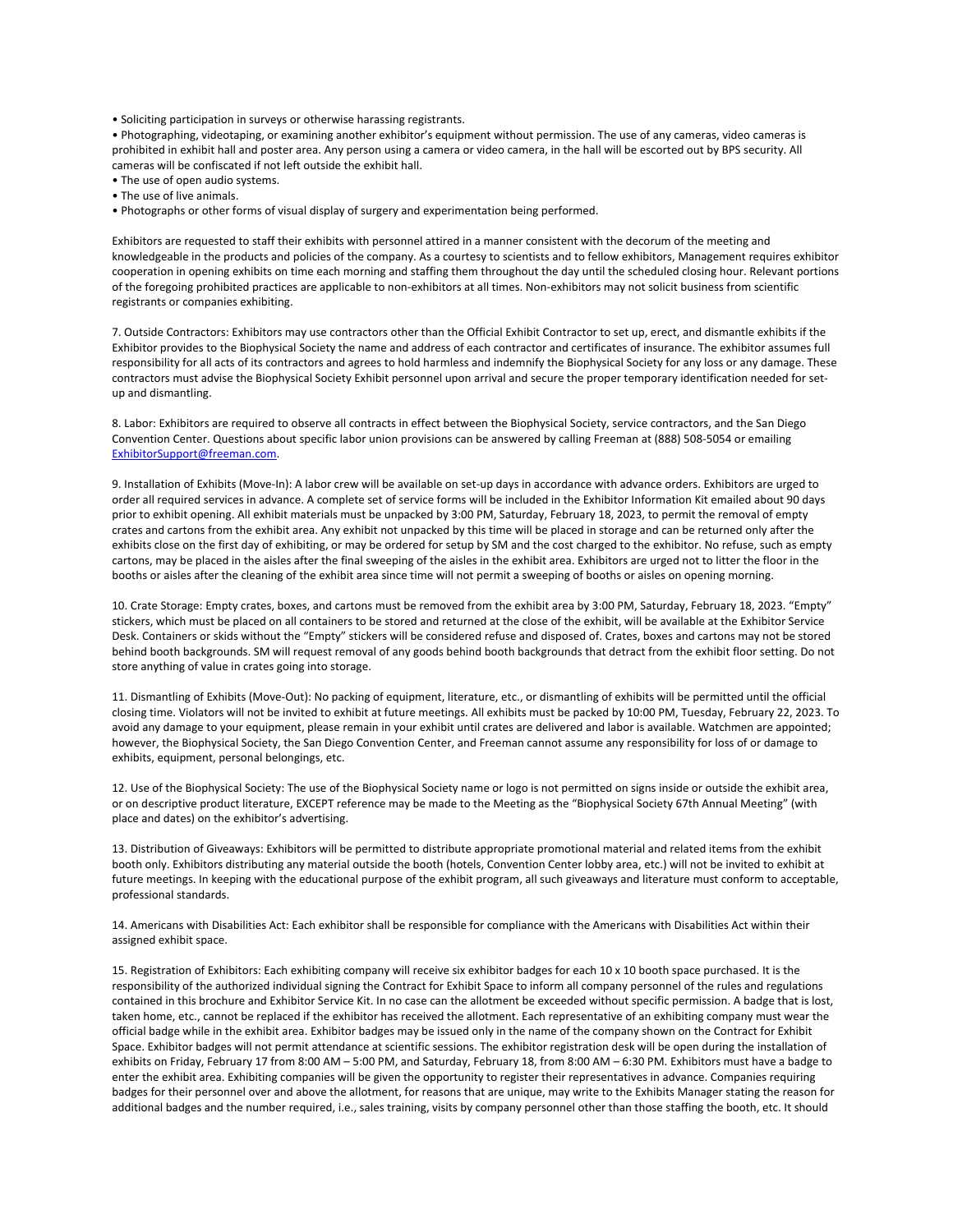• Soliciting participation in surveys or otherwise harassing registrants.

• Photographing, videotaping, or examining another exhibitor's equipment without permission. The use of any cameras, video cameras is prohibited in exhibit hall and poster area. Any person using a camera or video camera, in the hall will be escorted out by BPS security. All cameras will be confiscated if not left outside the exhibit hall.

- The use of open audio systems.
- The use of live animals.
- Photographs or other forms of visual display of surgery and experimentation being performed.

Exhibitors are requested to staff their exhibits with personnel attired in a manner consistent with the decorum of the meeting and knowledgeable in the products and policies of the company. As a courtesy to scientists and to fellow exhibitors, Management requires exhibitor cooperation in opening exhibits on time each morning and staffing them throughout the day until the scheduled closing hour. Relevant portions of the foregoing prohibited practices are applicable to non-exhibitors at all times. Non-exhibitors may not solicit business from scientific registrants or companies exhibiting.

7. Outside Contractors: Exhibitors may use contractors other than the Official Exhibit Contractor to set up, erect, and dismantle exhibits if the Exhibitor provides to the Biophysical Society the name and address of each contractor and certificates of insurance. The exhibitor assumes full responsibility for all acts of its contractors and agrees to hold harmless and indemnify the Biophysical Society for any loss or any damage. These contractors must advise the Biophysical Society Exhibit personnel upon arrival and secure the proper temporary identification needed for setup and dismantling.

8. Labor: Exhibitors are required to observe all contracts in effect between the Biophysical Society, service contractors, and the San Diego Convention Center. Questions about specific labor union provisions can be answered by calling Freeman at (888) 508-5054 or emailing [ExhibitorSupport@freeman.com.](mailto:ExhibitorSupport@freeman.com) 

9. Installation of Exhibits (Move-In): A labor crew will be available on set-up days in accordance with advance orders. Exhibitors are urged to order all required services in advance. A complete set of service forms will be included in the Exhibitor Information Kit emailed about 90 days prior to exhibit opening. All exhibit materials must be unpacked by 3:00 PM, Saturday, February 18, 2023, to permit the removal of empty crates and cartons from the exhibit area. Any exhibit not unpacked by this time will be placed in storage and can be returned only after the exhibits close on the first day of exhibiting, or may be ordered for setup by SM and the cost charged to the exhibitor. No refuse, such as empty cartons, may be placed in the aisles after the final sweeping of the aisles in the exhibit area. Exhibitors are urged not to litter the floor in the booths or aisles after the cleaning of the exhibit area since time will not permit a sweeping of booths or aisles on opening morning.

10. Crate Storage: Empty crates, boxes, and cartons must be removed from the exhibit area by 3:00 PM, Saturday, February 18, 2023. "Empty" stickers, which must be placed on all containers to be stored and returned at the close of the exhibit, will be available at the Exhibitor Service Desk. Containers or skids without the "Empty" stickers will be considered refuse and disposed of. Crates, boxes and cartons may not be stored behind booth backgrounds. SM will request removal of any goods behind booth backgrounds that detract from the exhibit floor setting. Do not store anything of value in crates going into storage.

11. Dismantling of Exhibits (Move-Out): No packing of equipment, literature, etc., or dismantling of exhibits will be permitted until the official closing time. Violators will not be invited to exhibit at future meetings. All exhibits must be packed by 10:00 PM, Tuesday, February 22, 2023. To avoid any damage to your equipment, please remain in your exhibit until crates are delivered and labor is available. Watchmen are appointed; however, the Biophysical Society, the San Diego Convention Center, and Freeman cannot assume any responsibility for loss of or damage to exhibits, equipment, personal belongings, etc.

12. Use of the Biophysical Society: The use of the Biophysical Society name or logo is not permitted on signs inside or outside the exhibit area, or on descriptive product literature, EXCEPT reference may be made to the Meeting as the "Biophysical Society 67th Annual Meeting" (with place and dates) on the exhibitor's advertising.

13. Distribution of Giveaways: Exhibitors will be permitted to distribute appropriate promotional material and related items from the exhibit booth only. Exhibitors distributing any material outside the booth (hotels, Convention Center lobby area, etc.) will not be invited to exhibit at future meetings. In keeping with the educational purpose of the exhibit program, all such giveaways and literature must conform to acceptable, professional standards.

14. Americans with Disabilities Act: Each exhibitor shall be responsible for compliance with the Americans with Disabilities Act within their assigned exhibit space.

15. Registration of Exhibitors: Each exhibiting company will receive six exhibitor badges for each 10 x 10 booth space purchased. It is the responsibility of the authorized individual signing the Contract for Exhibit Space to inform all company personnel of the rules and regulations contained in this brochure and Exhibitor Service Kit. In no case can the allotment be exceeded without specific permission. A badge that is lost, taken home, etc., cannot be replaced if the exhibitor has received the allotment. Each representative of an exhibiting company must wear the official badge while in the exhibit area. Exhibitor badges may be issued only in the name of the company shown on the Contract for Exhibit Space. Exhibitor badges will not permit attendance at scientific sessions. The exhibitor registration desk will be open during the installation of exhibits on Friday, February 17 from 8:00 AM – 5:00 PM, and Saturday, February 18, from 8:00 AM – 6:30 PM. Exhibitors must have a badge to enter the exhibit area. Exhibiting companies will be given the opportunity to register their representatives in advance. Companies requiring badges for their personnel over and above the allotment, for reasons that are unique, may write to the Exhibits Manager stating the reason for additional badges and the number required, i.e., sales training, visits by company personnel other than those staffing the booth, etc. It should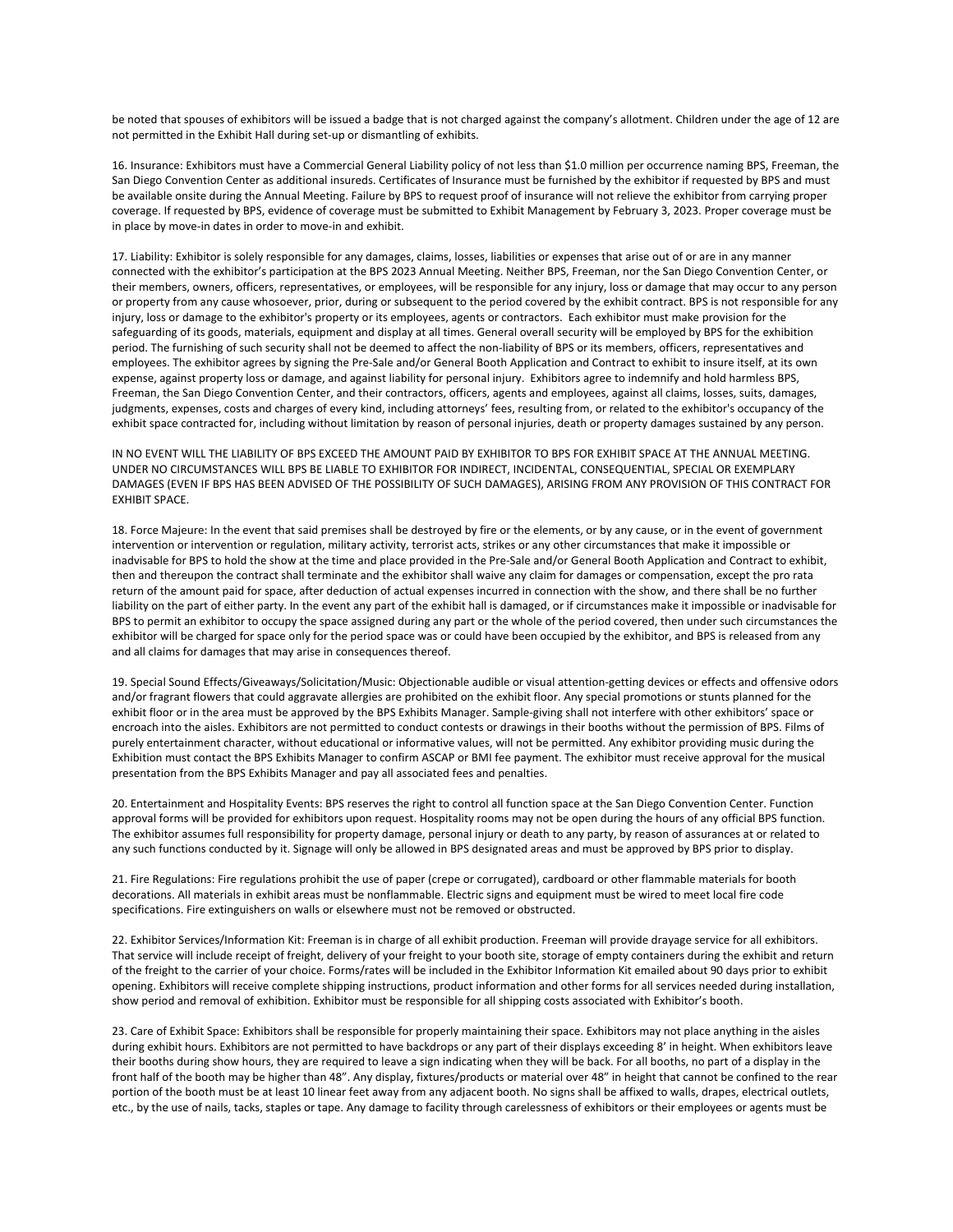be noted that spouses of exhibitors will be issued a badge that is not charged against the company's allotment. Children under the age of 12 are not permitted in the Exhibit Hall during set-up or dismantling of exhibits.

16. Insurance: Exhibitors must have a Commercial General Liability policy of not less than \$1.0 million per occurrence naming BPS, Freeman, the San Diego Convention Center as additional insureds. Certificates of Insurance must be furnished by the exhibitor if requested by BPS and must be available onsite during the Annual Meeting. Failure by BPS to request proof of insurance will not relieve the exhibitor from carrying proper coverage. If requested by BPS, evidence of coverage must be submitted to Exhibit Management by February 3, 2023. Proper coverage must be in place by move-in dates in order to move-in and exhibit.

17. Liability: Exhibitor is solely responsible for any damages, claims, losses, liabilities or expenses that arise out of or are in any manner connected with the exhibitor's participation at the BPS 2023 Annual Meeting. Neither BPS, Freeman, nor the San Diego Convention Center, or their members, owners, officers, representatives, or employees, will be responsible for any injury, loss or damage that may occur to any person or property from any cause whosoever, prior, during or subsequent to the period covered by the exhibit contract. BPS is not responsible for any injury, loss or damage to the exhibitor's property or its employees, agents or contractors. Each exhibitor must make provision for the safeguarding of its goods, materials, equipment and display at all times. General overall security will be employed by BPS for the exhibition period. The furnishing of such security shall not be deemed to affect the non-liability of BPS or its members, officers, representatives and employees. The exhibitor agrees by signing the Pre-Sale and/or General Booth Application and Contract to exhibit to insure itself, at its own expense, against property loss or damage, and against liability for personal injury. Exhibitors agree to indemnify and hold harmless BPS, Freeman, the San Diego Convention Center, and their contractors, officers, agents and employees, against all claims, losses, suits, damages, judgments, expenses, costs and charges of every kind, including attorneys' fees, resulting from, or related to the exhibitor's occupancy of the exhibit space contracted for, including without limitation by reason of personal injuries, death or property damages sustained by any person.

IN NO EVENT WILL THE LIABILITY OF BPS EXCEED THE AMOUNT PAID BY EXHIBITOR TO BPS FOR EXHIBIT SPACE AT THE ANNUAL MEETING. UNDER NO CIRCUMSTANCES WILL BPS BE LIABLE TO EXHIBITOR FOR INDIRECT, INCIDENTAL, CONSEQUENTIAL, SPECIAL OR EXEMPLARY DAMAGES (EVEN IF BPS HAS BEEN ADVISED OF THE POSSIBILITY OF SUCH DAMAGES), ARISING FROM ANY PROVISION OF THIS CONTRACT FOR EXHIBIT SPACE.

18. Force Majeure: In the event that said premises shall be destroyed by fire or the elements, or by any cause, or in the event of government intervention or intervention or regulation, military activity, terrorist acts, strikes or any other circumstances that make it impossible or inadvisable for BPS to hold the show at the time and place provided in the Pre-Sale and/or General Booth Application and Contract to exhibit, then and thereupon the contract shall terminate and the exhibitor shall waive any claim for damages or compensation, except the pro rata return of the amount paid for space, after deduction of actual expenses incurred in connection with the show, and there shall be no further liability on the part of either party. In the event any part of the exhibit hall is damaged, or if circumstances make it impossible or inadvisable for BPS to permit an exhibitor to occupy the space assigned during any part or the whole of the period covered, then under such circumstances the exhibitor will be charged for space only for the period space was or could have been occupied by the exhibitor, and BPS is released from any and all claims for damages that may arise in consequences thereof.

19. Special Sound Effects/Giveaways/Solicitation/Music: Objectionable audible or visual attention-getting devices or effects and offensive odors and/or fragrant flowers that could aggravate allergies are prohibited on the exhibit floor. Any special promotions or stunts planned for the exhibit floor or in the area must be approved by the BPS Exhibits Manager. Sample-giving shall not interfere with other exhibitors' space or encroach into the aisles. Exhibitors are not permitted to conduct contests or drawings in their booths without the permission of BPS. Films of purely entertainment character, without educational or informative values, will not be permitted. Any exhibitor providing music during the Exhibition must contact the BPS Exhibits Manager to confirm ASCAP or BMI fee payment. The exhibitor must receive approval for the musical presentation from the BPS Exhibits Manager and pay all associated fees and penalties.

20. Entertainment and Hospitality Events: BPS reserves the right to control all function space at the San Diego Convention Center. Function approval forms will be provided for exhibitors upon request. Hospitality rooms may not be open during the hours of any official BPS function. The exhibitor assumes full responsibility for property damage, personal injury or death to any party, by reason of assurances at or related to any such functions conducted by it. Signage will only be allowed in BPS designated areas and must be approved by BPS prior to display.

21. Fire Regulations: Fire regulations prohibit the use of paper (crepe or corrugated), cardboard or other flammable materials for booth decorations. All materials in exhibit areas must be nonflammable. Electric signs and equipment must be wired to meet local fire code specifications. Fire extinguishers on walls or elsewhere must not be removed or obstructed.

22. Exhibitor Services/Information Kit: Freeman is in charge of all exhibit production. Freeman will provide drayage service for all exhibitors. That service will include receipt of freight, delivery of your freight to your booth site, storage of empty containers during the exhibit and return of the freight to the carrier of your choice. Forms/rates will be included in the Exhibitor Information Kit emailed about 90 days prior to exhibit opening. Exhibitors will receive complete shipping instructions, product information and other forms for all services needed during installation, show period and removal of exhibition. Exhibitor must be responsible for all shipping costs associated with Exhibitor's booth.

23. Care of Exhibit Space: Exhibitors shall be responsible for properly maintaining their space. Exhibitors may not place anything in the aisles during exhibit hours. Exhibitors are not permitted to have backdrops or any part of their displays exceeding 8' in height. When exhibitors leave their booths during show hours, they are required to leave a sign indicating when they will be back. For all booths, no part of a display in the front half of the booth may be higher than 48". Any display, fixtures/products or material over 48" in height that cannot be confined to the rear portion of the booth must be at least 10 linear feet away from any adjacent booth. No signs shall be affixed to walls, drapes, electrical outlets, etc., by the use of nails, tacks, staples or tape. Any damage to facility through carelessness of exhibitors or their employees or agents must be